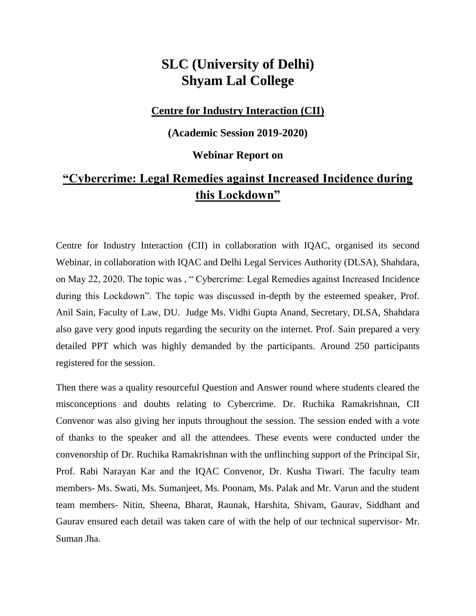## **SLC (University of Delhi) Shyam Lal College**

## **Centre for Industry Interaction (CII)**

**(Academic Session 2019-2020)**

## **Webinar Report on**

## **"Cybercrime: Legal Remedies against Increased Incidence during this Lockdown"**

Centre for Industry Interaction (CII) in collaboration with IQAC, organised its second Webinar, in collaboration with IQAC and Delhi Legal Services Authority (DLSA), Shahdara, on May 22, 2020. The topic was , " Cybercrime: Legal Remedies against Increased Incidence during this Lockdown". The topic was discussed in-depth by the esteemed speaker, Prof. Anil Sain, Faculty of Law, DU. Judge Ms. Vidhi Gupta Anand, Secretary, DLSA, Shahdara also gave very good inputs regarding the security on the internet. Prof. Sain prepared a very detailed PPT which was highly demanded by the participants. Around 250 participants registered for the session.

Then there was a quality resourceful Question and Answer round where students cleared the misconceptions and doubts relating to Cybercrime. Dr. Ruchika Ramakrishnan, CII Convenor was also giving her inputs throughout the session. The session ended with a vote of thanks to the speaker and all the attendees. These events were conducted under the convenorship of Dr. Ruchika Ramakrishnan with the unflinching support of the Principal Sir, Prof. Rabi Narayan Kar and the IQAC Convenor, Dr. Kusha Tiwari. The faculty team members- Ms. Swati, Ms. Sumanjeet, Ms. Poonam, Ms. Palak and Mr. Varun and the student team members- Nitin, Sheena, Bharat, Raunak, Harshita, Shivam, Gaurav, Siddhant and Gaurav ensured each detail was taken care of with the help of our technical supervisor- Mr. Suman Jha.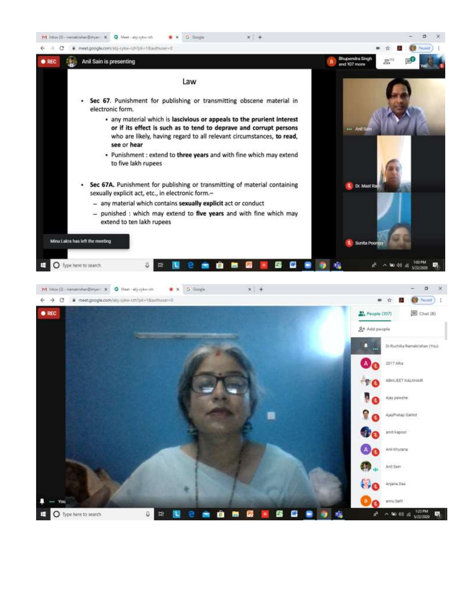

**05** 

 $\bullet$ 

區  $\mathbf{m}$ 

 $\overline{\omega}$ 

 $\frac{1}{2}$ 復 e 68 €

۰

 $\bullet$ 幅

\*\*\* You

O Type here to search

п

н

AjayPratap Gahlot

amit kapoor

Anti Khurana

Anil Sain

Anjana Das

annu bahi

 $\mathbf{a}^{\mathrm{B}}$ 

人的领点

曼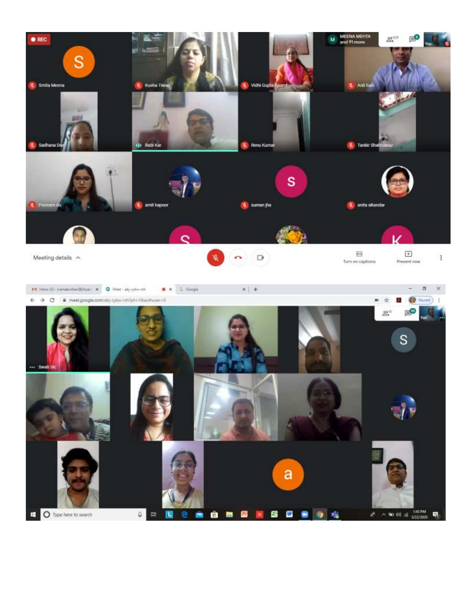